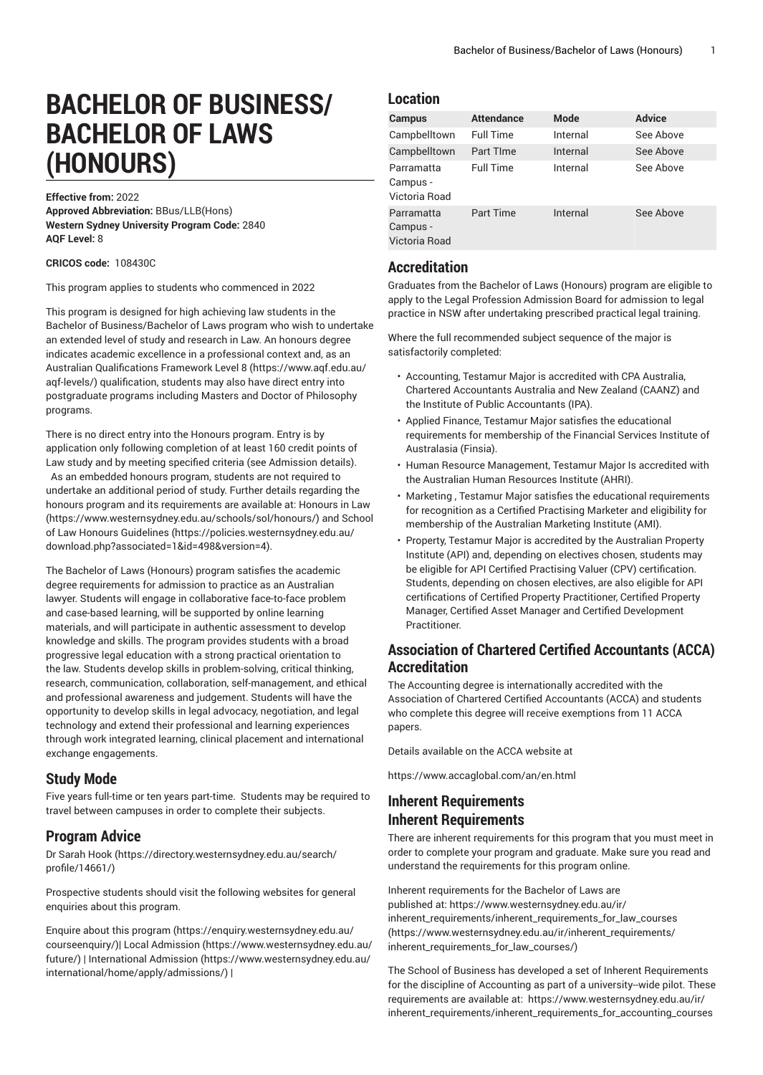# **BACHELOR OF BUSINESS/ BACHELOR OF LAWS (HONOURS)**

**Effective from:** 2022 **Approved Abbreviation:** BBus/LLB(Hons) **Western Sydney University Program Code:** 2840 **AQF Level:** 8

**CRICOS code:** 108430C

This program applies to students who commenced in 2022

This program is designed for high achieving law students in the Bachelor of Business/Bachelor of Laws program who wish to undertake an extended level of study and research in Law. An honours degree indicates academic excellence in a professional context and, as an Australian [Qualifications](https://www.aqf.edu.au/aqf-levels/) Framework Level 8 [\(https://www.aqf.edu.au/](https://www.aqf.edu.au/aqf-levels/) [aqf-levels/\)](https://www.aqf.edu.au/aqf-levels/) qualification, students may also have direct entry into postgraduate programs including Masters and Doctor of Philosophy programs.

There is no direct entry into the Honours program. Entry is by application only following completion of at least 160 credit points of Law study and by meeting specified criteria (see Admission details). As an embedded honours program, students are not required to undertake an additional period of study. Further details regarding the honours program and its requirements are available at: [Honours in Law](https://www.westernsydney.edu.au/schools/sol/honours/) ([https://www.westernsydney.edu.au/schools/sol/honours/\)](https://www.westernsydney.edu.au/schools/sol/honours/) and [School](https://policies.westernsydney.edu.au/download.php?associated=1&id=498&version=4) [of Law Honours Guidelines \(https://policies.westernsydney.edu.au/](https://policies.westernsydney.edu.au/download.php?associated=1&id=498&version=4) [download.php?associated=1&id=498&version=4\)](https://policies.westernsydney.edu.au/download.php?associated=1&id=498&version=4).

The Bachelor of Laws (Honours) program satisfies the academic degree requirements for admission to practice as an Australian lawyer. Students will engage in collaborative face-to-face problem and case-based learning, will be supported by online learning materials, and will participate in authentic assessment to develop knowledge and skills. The program provides students with a broad progressive legal education with a strong practical orientation to the law. Students develop skills in problem-solving, critical thinking, research, communication, collaboration, self-management, and ethical and professional awareness and judgement. Students will have the opportunity to develop skills in legal advocacy, negotiation, and legal technology and extend their professional and learning experiences through work integrated learning, clinical placement and international exchange engagements.

#### **Study Mode**

Five years full-time or ten years part-time. Students may be required to travel between campuses in order to complete their subjects.

### **Program Advice**

[Dr Sarah Hook](https://directory.westernsydney.edu.au/search/profile/14661/) ([https://directory.westernsydney.edu.au/search/](https://directory.westernsydney.edu.au/search/profile/14661/) [profile/14661/\)](https://directory.westernsydney.edu.au/search/profile/14661/)

Prospective students should visit the following websites for general enquiries about this program.

Enquire about this [program \(https://enquiry.westernsydney.edu.au/](https://enquiry.westernsydney.edu.au/courseenquiry/) [courseenquiry/](https://enquiry.westernsydney.edu.au/courseenquiry/))| [Local Admission \(https://www.westernsydney.edu.au/](https://www.westernsydney.edu.au/future/) [future/\)](https://www.westernsydney.edu.au/future/) | [International Admission](https://www.westernsydney.edu.au/international/home/apply/admissions/) ([https://www.westernsydney.edu.au/](https://www.westernsydney.edu.au/international/home/apply/admissions/) [international/home/apply/admissions/](https://www.westernsydney.edu.au/international/home/apply/admissions/)) |

## **Location**

| <b>Campus</b>                           | <b>Attendance</b> | <b>Mode</b> | <b>Advice</b> |
|-----------------------------------------|-------------------|-------------|---------------|
| Campbelltown                            | <b>Full Time</b>  | Internal    | See Above     |
| Campbelltown                            | Part TIme         | Internal    | See Above     |
| Parramatta<br>Campus -<br>Victoria Road | Full Time         | Internal    | See Above     |
| Parramatta<br>Campus -<br>Victoria Road | <b>Part Time</b>  | Internal    | See Above     |

## **Accreditation**

Graduates from the Bachelor of Laws (Honours) program are eligible to apply to the Legal Profession Admission Board for admission to legal practice in NSW after undertaking prescribed practical legal training.

Where the full recommended subject sequence of the major is satisfactorily completed:

- Accounting, Testamur Major is accredited with CPA Australia, Chartered Accountants Australia and New Zealand (CAANZ) and the Institute of Public Accountants (IPA).
- Applied Finance, Testamur Major satisfies the educational requirements for membership of the Financial Services Institute of Australasia (Finsia).
- Human Resource Management, Testamur Major Is accredited with the Australian Human Resources Institute (AHRI).
- Marketing , Testamur Major satisfies the educational requirements for recognition as a Certified Practising Marketer and eligibility for membership of the Australian Marketing Institute (AMI).
- Property, Testamur Major is accredited by the Australian Property Institute (API) and, depending on electives chosen, students may be eligible for API Certified Practising Valuer (CPV) certification. Students, depending on chosen electives, are also eligible for API certifications of Certified Property Practitioner, Certified Property Manager, Certified Asset Manager and Certified Development **Practitioner**

## **Association of Chartered Certified Accountants (ACCA) Accreditation**

The Accounting degree is internationally accredited with the Association of Chartered Certified Accountants (ACCA) and students who complete this degree will receive exemptions from 11 ACCA papers.

Details available on the ACCA website at

<https://www.accaglobal.com/an/en.html>

## **Inherent Requirements Inherent Requirements**

There are inherent requirements for this program that you must meet in order to complete your program and graduate. Make sure you read and understand the requirements for this program online.

Inherent requirements for the Bachelor of Laws are published at: [https://www.westernsydney.edu.au/ir/](https://www.westernsydney.edu.au/ir/inherent_requirements/inherent_requirements_for_law_courses/) [inherent\\_requirements/inherent\\_requirements\\_for\\_law\\_courses](https://www.westernsydney.edu.au/ir/inherent_requirements/inherent_requirements_for_law_courses/) ([https://www.westernsydney.edu.au/ir/inherent\\_requirements/](https://www.westernsydney.edu.au/ir/inherent_requirements/inherent_requirements_for_law_courses/) [inherent\\_requirements\\_for\\_law\\_courses/](https://www.westernsydney.edu.au/ir/inherent_requirements/inherent_requirements_for_law_courses/))

The School of Business has developed a set of Inherent Requirements for the discipline of Accounting as part of a university--wide pilot. These requirements are available at: [https://www.westernsydney.edu.au/ir/](https://www.westernsydney.edu.au/ir/inherent_requirements/inherent_requirements_for_accounting_courses/) [inherent\\_requirements/inherent\\_requirements\\_for\\_accounting\\_courses](https://www.westernsydney.edu.au/ir/inherent_requirements/inherent_requirements_for_accounting_courses/)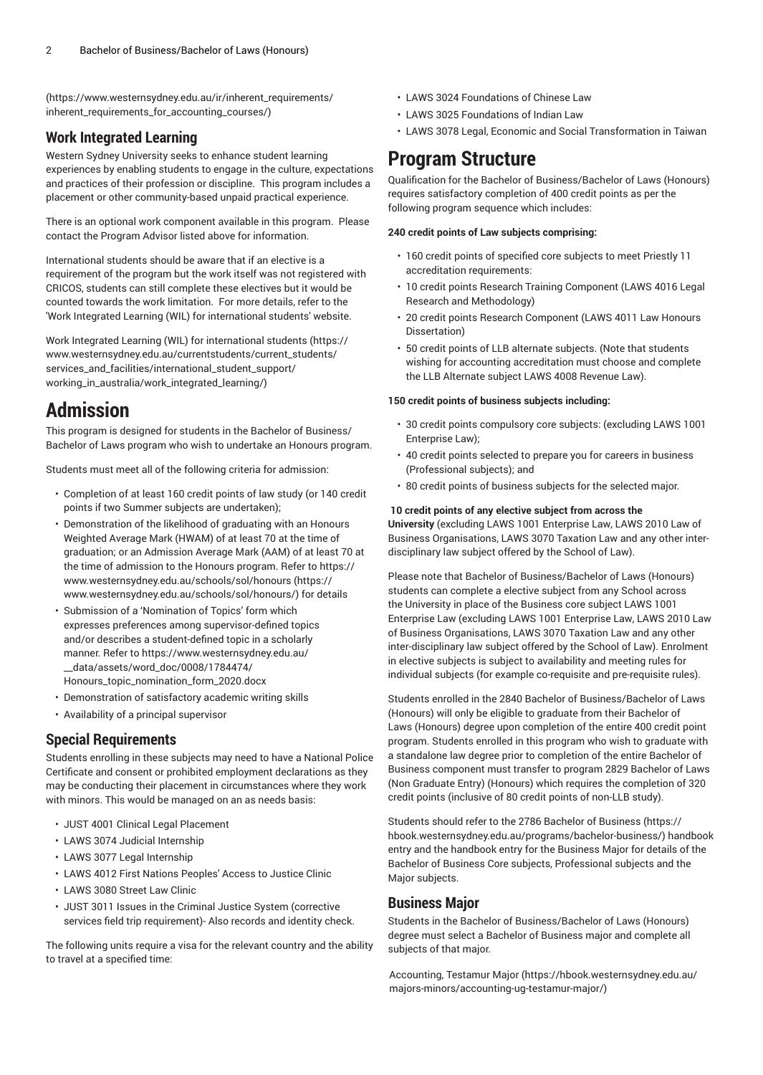([https://www.westernsydney.edu.au/ir/inherent\\_requirements/](https://www.westernsydney.edu.au/ir/inherent_requirements/inherent_requirements_for_accounting_courses/) [inherent\\_requirements\\_for\\_accounting\\_courses/\)](https://www.westernsydney.edu.au/ir/inherent_requirements/inherent_requirements_for_accounting_courses/)

### **Work Integrated Learning**

Western Sydney University seeks to enhance student learning experiences by enabling students to engage in the culture, expectations and practices of their profession or discipline. This program includes a placement or other community-based unpaid practical experience.

There is an optional work component available in this program. Please contact the Program Advisor listed above for information.

International students should be aware that if an elective is a requirement of the program but the work itself was not registered with CRICOS, students can still complete these electives but it would be counted towards the work limitation. For more details, refer to the 'Work Integrated Learning (WIL) for international students' website.

Work Integrated Learning (WIL) for [international](https://www.westernsydney.edu.au/currentstudents/current_students/services_and_facilities/international_student_support/working_in_australia/work_integrated_learning/) students [\(https://](https://www.westernsydney.edu.au/currentstudents/current_students/services_and_facilities/international_student_support/working_in_australia/work_integrated_learning/) [www.westernsydney.edu.au/currentstudents/current\\_students/](https://www.westernsydney.edu.au/currentstudents/current_students/services_and_facilities/international_student_support/working_in_australia/work_integrated_learning/) [services\\_and\\_facilities/international\\_student\\_support/](https://www.westernsydney.edu.au/currentstudents/current_students/services_and_facilities/international_student_support/working_in_australia/work_integrated_learning/) [working\\_in\\_australia/work\\_integrated\\_learning/\)](https://www.westernsydney.edu.au/currentstudents/current_students/services_and_facilities/international_student_support/working_in_australia/work_integrated_learning/)

## **Admission**

This program is designed for students in the Bachelor of Business/ Bachelor of Laws program who wish to undertake an Honours program.

Students must meet all of the following criteria for admission:

- Completion of at least 160 credit points of law study (or 140 credit points if two Summer subjects are undertaken);
- Demonstration of the likelihood of graduating with an Honours Weighted Average Mark (HWAM) of at least 70 at the time of graduation; or an Admission Average Mark (AAM) of at least 70 at the time of admission to the Honours program. Refer to [https://](https://www.westernsydney.edu.au/schools/sol/honours/) [www.westernsydney.edu.au/schools/sol/honours](https://www.westernsydney.edu.au/schools/sol/honours/) ([https://](https://www.westernsydney.edu.au/schools/sol/honours/) [www.westernsydney.edu.au/schools/sol/honours/\)](https://www.westernsydney.edu.au/schools/sol/honours/) for details
- Submission of a 'Nomination of Topics' form which expresses preferences among supervisor-defined topics and/or describes a student-defined topic in a scholarly manner. Refer to [https://www.westernsydney.edu.au/](https://www.westernsydney.edu.au/__data/assets/word_doc/0008/1784474/Honours_topic_nomination_form_2020.docx) [\\_\\_data/assets/word\\_doc/0008/1784474/](https://www.westernsydney.edu.au/__data/assets/word_doc/0008/1784474/Honours_topic_nomination_form_2020.docx) [Honours\\_topic\\_nomination\\_form\\_2020.docx](https://www.westernsydney.edu.au/__data/assets/word_doc/0008/1784474/Honours_topic_nomination_form_2020.docx)
- Demonstration of satisfactory academic writing skills
- Availability of a principal supervisor

### **Special Requirements**

Students enrolling in these subjects may need to have a National Police Certificate and consent or prohibited employment declarations as they may be conducting their placement in circumstances where they work with minors. This would be managed on an as needs basis:

- [JUST 4001](/search/?P=JUST%204001) Clinical Legal Placement
- [LAWS](/search/?P=LAWS%203074) 3074 Judicial Internship
- [LAWS](/search/?P=LAWS%203077) 3077 Legal Internship
- [LAWS](/search/?P=LAWS%204012) 4012 First Nations Peoples' Access to Justice Clinic
- [LAWS](/search/?P=LAWS%203080) 3080 Street Law Clinic
- [JUST 3011](/search/?P=JUST%203011) Issues in the Criminal Justice System (corrective services field trip requirement)- Also records and identity check.

The following units require a visa for the relevant country and the ability to travel at a specified time:

- [LAWS](/search/?P=LAWS%203024) 3024 Foundations of Chinese Law
- [LAWS](/search/?P=LAWS%203025) 3025 Foundations of Indian Law
- [LAWS](/search/?P=LAWS%203078) 3078 Legal, Economic and Social Transformation in Taiwan

## **Program Structure**

Qualification for the Bachelor of Business/Bachelor of Laws (Honours) requires satisfactory completion of 400 credit points as per the following program sequence which includes:

#### **240 credit points of Law subjects comprising:**

- 160 credit points of specified core subjects to meet Priestly 11 accreditation requirements:
- 10 credit points Research Training Component (LAWS 4016 Legal Research and Methodology)
- 20 credit points Research Component (LAWS 4011 Law Honours Dissertation)
- 50 credit points of LLB alternate subjects. (Note that students wishing for accounting accreditation must choose and complete the LLB Alternate subject LAWS 4008 Revenue Law).

#### **150 credit points of business subjects including:**

- 30 credit points compulsory core subjects: (excluding LAWS 1001 Enterprise Law);
- 40 credit points selected to prepare you for careers in business (Professional subjects); and
- 80 credit points of business subjects for the selected major.

#### **10 credit points of any elective subject from across the**

**University** (excluding LAWS 1001 Enterprise Law, LAWS 2010 Law of Business Organisations, LAWS 3070 Taxation Law and any other interdisciplinary law subject offered by the School of Law).

Please note that Bachelor of Business/Bachelor of Laws (Honours) students can complete a elective subject from any School across the University in place of the Business core subject LAWS 1001 Enterprise Law (excluding LAWS 1001 Enterprise Law, LAWS 2010 Law of Business Organisations, LAWS 3070 Taxation Law and any other inter-disciplinary law subject offered by the School of Law). Enrolment in elective subjects is subject to availability and meeting rules for individual subjects (for example co-requisite and pre-requisite rules).

Students enrolled in the 2840 Bachelor of Business/Bachelor of Laws (Honours) will only be eligible to graduate from their Bachelor of Laws (Honours) degree upon completion of the entire 400 credit point program. Students enrolled in this program who wish to graduate with a standalone law degree prior to completion of the entire Bachelor of Business component must transfer to program 2829 Bachelor of Laws (Non Graduate Entry) (Honours) which requires the completion of 320 credit points (inclusive of 80 credit points of non-LLB study).

Students should refer to the [2786 Bachelor of Business](https://hbook.westernsydney.edu.au/programs/bachelor-business/) [\(https://](https://hbook.westernsydney.edu.au/programs/bachelor-business/) [hbook.westernsydney.edu.au/programs/bachelor-business/\)](https://hbook.westernsydney.edu.au/programs/bachelor-business/) handbook entry and the handbook entry for the Business Major for details of the Bachelor of Business Core subjects, Professional subjects and the Major subjects.

### **Business Major**

Students in the Bachelor of Business/Bachelor of Laws (Honours) degree must select a Bachelor of Business major and complete all subjects of that major.

[Accounting,](https://hbook.westernsydney.edu.au/majors-minors/accounting-ug-testamur-major/) Testamur Major [\(https://hbook.westernsydney.edu.au/](https://hbook.westernsydney.edu.au/majors-minors/accounting-ug-testamur-major/) [majors-minors/accounting-ug-testamur-major/](https://hbook.westernsydney.edu.au/majors-minors/accounting-ug-testamur-major/))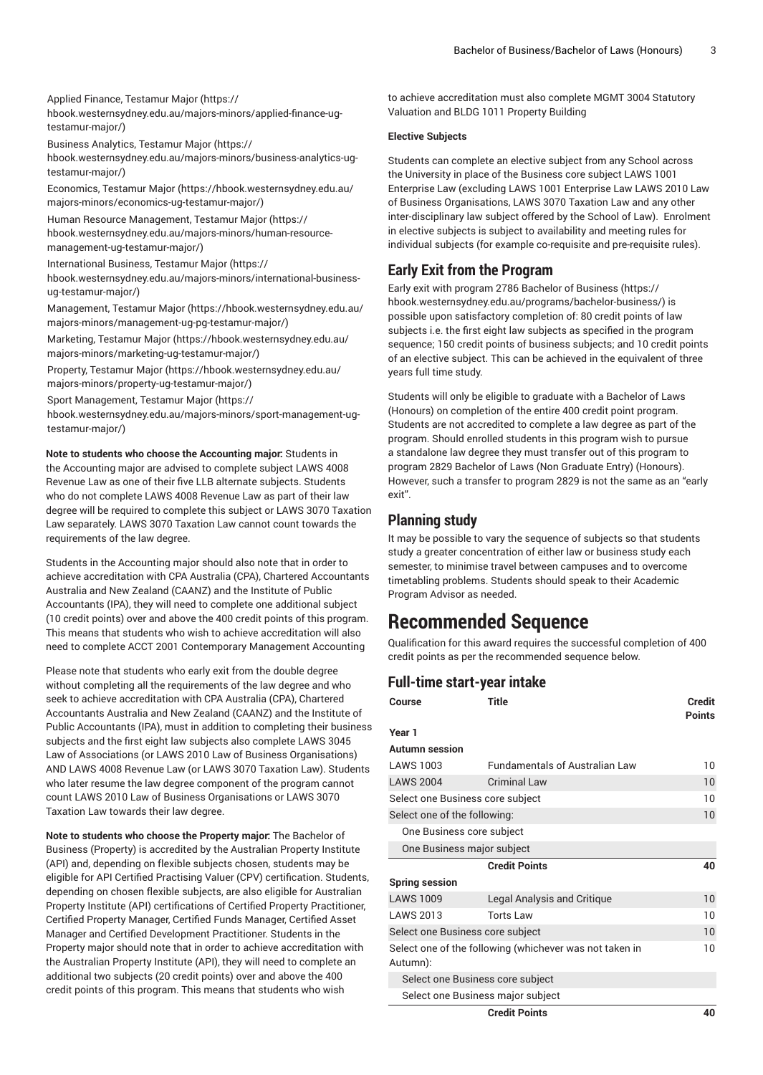Applied Finance, [Testamur](https://hbook.westernsydney.edu.au/majors-minors/applied-finance-ug-testamur-major/) Major ([https://](https://hbook.westernsydney.edu.au/majors-minors/applied-finance-ug-testamur-major/)

[hbook.westernsydney.edu.au/majors-minors/applied-finance-ug](https://hbook.westernsydney.edu.au/majors-minors/applied-finance-ug-testamur-major/)[testamur-major/\)](https://hbook.westernsydney.edu.au/majors-minors/applied-finance-ug-testamur-major/)

Business [Analytics,](https://hbook.westernsydney.edu.au/majors-minors/business-analytics-ug-testamur-major/) Testamur Major [\(https://](https://hbook.westernsydney.edu.au/majors-minors/business-analytics-ug-testamur-major/)

[hbook.westernsydney.edu.au/majors-minors/business-analytics-ug](https://hbook.westernsydney.edu.au/majors-minors/business-analytics-ug-testamur-major/)[testamur-major/\)](https://hbook.westernsydney.edu.au/majors-minors/business-analytics-ug-testamur-major/)

[Economics,](https://hbook.westernsydney.edu.au/majors-minors/economics-ug-testamur-major/) Testamur Major ([https://hbook.westernsydney.edu.au/](https://hbook.westernsydney.edu.au/majors-minors/economics-ug-testamur-major/) [majors-minors/economics-ug-testamur-major/](https://hbook.westernsydney.edu.au/majors-minors/economics-ug-testamur-major/))

Human Resource [Management,](https://hbook.westernsydney.edu.au/majors-minors/human-resource-management-ug-testamur-major/) Testamur Major ([https://](https://hbook.westernsydney.edu.au/majors-minors/human-resource-management-ug-testamur-major/) [hbook.westernsydney.edu.au/majors-minors/human-resource](https://hbook.westernsydney.edu.au/majors-minors/human-resource-management-ug-testamur-major/)[management-ug-testamur-major/\)](https://hbook.westernsydney.edu.au/majors-minors/human-resource-management-ug-testamur-major/)

[International](https://hbook.westernsydney.edu.au/majors-minors/international-business-ug-testamur-major/) Business, Testamur Major ([https://](https://hbook.westernsydney.edu.au/majors-minors/international-business-ug-testamur-major/)

[hbook.westernsydney.edu.au/majors-minors/international-business](https://hbook.westernsydney.edu.au/majors-minors/international-business-ug-testamur-major/)[ug-testamur-major/](https://hbook.westernsydney.edu.au/majors-minors/international-business-ug-testamur-major/))

[Management,](https://hbook.westernsydney.edu.au/majors-minors/management-ug-pg-testamur-major/) Testamur Major ([https://hbook.westernsydney.edu.au/](https://hbook.westernsydney.edu.au/majors-minors/management-ug-pg-testamur-major/) [majors-minors/management-ug-pg-testamur-major/\)](https://hbook.westernsydney.edu.au/majors-minors/management-ug-pg-testamur-major/)

[Marketing,](https://hbook.westernsydney.edu.au/majors-minors/marketing-ug-testamur-major/) Testamur Major [\(https://hbook.westernsydney.edu.au/](https://hbook.westernsydney.edu.au/majors-minors/marketing-ug-testamur-major/) [majors-minors/marketing-ug-testamur-major/\)](https://hbook.westernsydney.edu.au/majors-minors/marketing-ug-testamur-major/)

Property, [Testamur](https://hbook.westernsydney.edu.au/majors-minors/property-ug-testamur-major/) Major [\(https://hbook.westernsydney.edu.au/](https://hbook.westernsydney.edu.au/majors-minors/property-ug-testamur-major/) [majors-minors/property-ug-testamur-major/\)](https://hbook.westernsydney.edu.au/majors-minors/property-ug-testamur-major/)

Sport [Management,](https://hbook.westernsydney.edu.au/majors-minors/sport-management-ug-testamur-major/) Testamur Major [\(https://](https://hbook.westernsydney.edu.au/majors-minors/sport-management-ug-testamur-major/)

[hbook.westernsydney.edu.au/majors-minors/sport-management-ug](https://hbook.westernsydney.edu.au/majors-minors/sport-management-ug-testamur-major/)[testamur-major/\)](https://hbook.westernsydney.edu.au/majors-minors/sport-management-ug-testamur-major/)

**Note to students who choose the Accounting major:** Students in the Accounting major are advised to complete subject LAWS 4008 Revenue Law as one of their five LLB alternate subjects. Students who do not complete LAWS 4008 Revenue Law as part of their law degree will be required to complete this subject or LAWS 3070 Taxation Law separately. LAWS 3070 Taxation Law cannot count towards the requirements of the law degree.

Students in the Accounting major should also note that in order to achieve accreditation with CPA Australia (CPA), Chartered Accountants Australia and New Zealand (CAANZ) and the Institute of Public Accountants (IPA), they will need to complete one additional subject (10 credit points) over and above the 400 credit points of this program. This means that students who wish to achieve accreditation will also need to complete ACCT 2001 Contemporary Management Accounting

Please note that students who early exit from the double degree without completing all the requirements of the law degree and who seek to achieve accreditation with CPA Australia (CPA), Chartered Accountants Australia and New Zealand (CAANZ) and the Institute of Public Accountants (IPA), must in addition to completing their business subjects and the first eight law subjects also complete LAWS 3045 Law of Associations (or LAWS 2010 Law of Business Organisations) AND LAWS 4008 Revenue Law (or LAWS 3070 Taxation Law). Students who later resume the law degree component of the program cannot count LAWS 2010 Law of Business Organisations or LAWS 3070 Taxation Law towards their law degree.

**Note to students who choose the Property major:** The Bachelor of Business (Property) is accredited by the Australian Property Institute (API) and, depending on flexible subjects chosen, students may be eligible for API Certified Practising Valuer (CPV) certification. Students, depending on chosen flexible subjects, are also eligible for Australian Property Institute (API) certifications of Certified Property Practitioner, Certified Property Manager, Certified Funds Manager, Certified Asset Manager and Certified Development Practitioner. Students in the Property major should note that in order to achieve accreditation with the Australian Property Institute (API), they will need to complete an additional two subjects (20 credit points) over and above the 400 credit points of this program. This means that students who wish

to achieve accreditation must also complete MGMT 3004 Statutory Valuation and BLDG 1011 Property Building

#### **Elective Subjects**

Students can complete an elective subject from any School across the University in place of the Business core subject LAWS 1001 Enterprise Law (excluding LAWS 1001 Enterprise Law LAWS 2010 Law of Business Organisations, LAWS 3070 Taxation Law and any other inter-disciplinary law subject offered by the School of Law). Enrolment in elective subjects is subject to availability and meeting rules for individual subjects (for example co-requisite and pre-requisite rules).

## **Early Exit from the Program**

Early exit with program [2786 Bachelor of Business \(https://](https://hbook.westernsydney.edu.au/programs/bachelor-business/) [hbook.westernsydney.edu.au/programs/bachelor-business/\)](https://hbook.westernsydney.edu.au/programs/bachelor-business/) is possible upon satisfactory completion of: 80 credit points of law subjects i.e. the first eight law subjects as specified in the program sequence; 150 credit points of business subjects; and 10 credit points of an elective subject. This can be achieved in the equivalent of three years full time study.

Students will only be eligible to graduate with a Bachelor of Laws (Honours) on completion of the entire 400 credit point program. Students are not accredited to complete a law degree as part of the program. Should enrolled students in this program wish to pursue a standalone law degree they must transfer out of this program to program 2829 Bachelor of Laws (Non Graduate Entry) (Honours). However, such a transfer to program 2829 is not the same as an "early exit".

## **Planning study**

It may be possible to vary the sequence of subjects so that students study a greater concentration of either law or business study each semester, to minimise travel between campuses and to overcome timetabling problems. Students should speak to their Academic Program Advisor as needed.

## **Recommended Sequence**

Qualification for this award requires the successful completion of 400 credit points as per the recommended sequence below.

## **Full-time start-year intake**

| Course                           | <b>Title</b>                                            | <b>Credit</b><br><b>Points</b> |
|----------------------------------|---------------------------------------------------------|--------------------------------|
| Year 1                           |                                                         |                                |
| Autumn session                   |                                                         |                                |
| <b>LAWS 1003</b>                 | <b>Fundamentals of Australian Law</b>                   | 10                             |
| <b>LAWS 2004</b>                 | <b>Criminal Law</b>                                     | 10                             |
| Select one Business core subject |                                                         | 10                             |
| Select one of the following:     |                                                         | 10                             |
| One Business core subject        |                                                         |                                |
|                                  | One Business major subject                              |                                |
|                                  | <b>Credit Points</b>                                    | 40                             |
| <b>Spring session</b>            |                                                         |                                |
| <b>LAWS 1009</b>                 | Legal Analysis and Critique                             | 10                             |
| <b>LAWS 2013</b>                 | <b>Torts Law</b>                                        | 10                             |
|                                  | Select one Business core subject                        | 10                             |
| Autumn):                         | Select one of the following (whichever was not taken in | 10                             |
|                                  | Select one Business core subject                        |                                |
|                                  | Select one Business major subject                       |                                |
|                                  | <b>Credit Points</b>                                    | 40                             |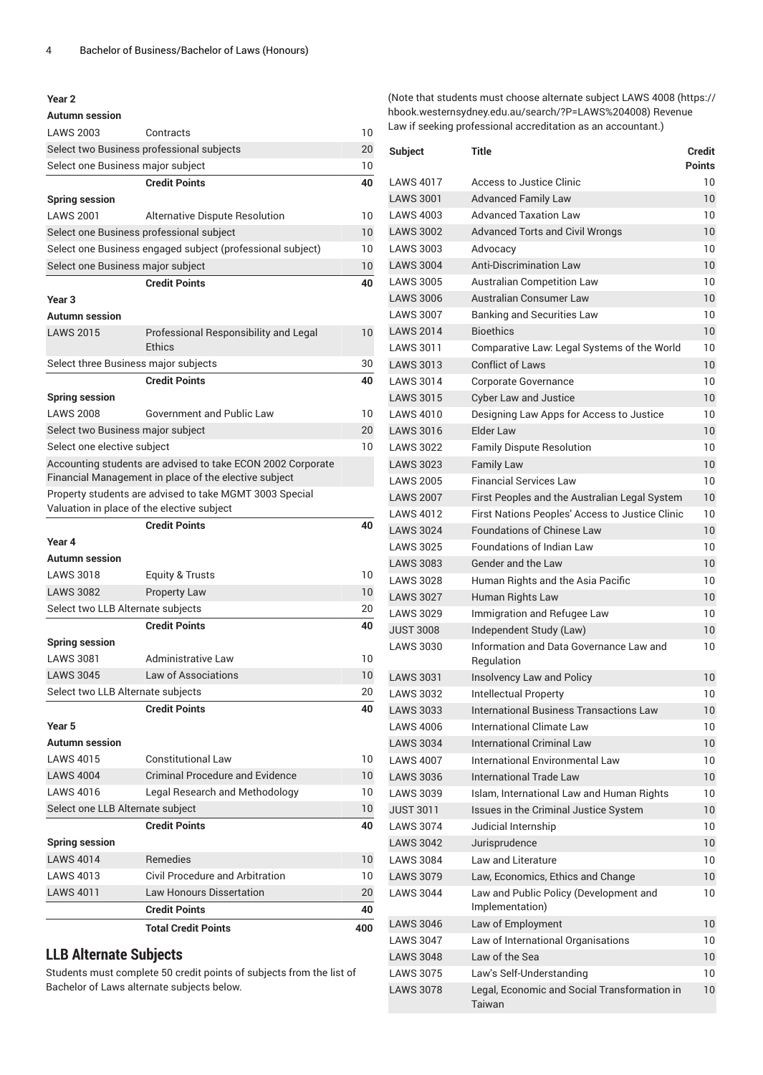#### **Year 2**

| <b>LAWS 2003</b>                           | Contracts                                                                                                            | 10              |
|--------------------------------------------|----------------------------------------------------------------------------------------------------------------------|-----------------|
|                                            | Select two Business professional subjects                                                                            | 20              |
| Select one Business major subject          |                                                                                                                      | 10              |
|                                            | <b>Credit Points</b>                                                                                                 | 40              |
| <b>Spring session</b>                      |                                                                                                                      |                 |
| <b>LAWS 2001</b>                           | Alternative Dispute Resolution                                                                                       | 10              |
| Select one Business professional subject   |                                                                                                                      | 10              |
|                                            | Select one Business engaged subject (professional subject)                                                           | 10              |
| Select one Business major subject          |                                                                                                                      | 10              |
|                                            | <b>Credit Points</b>                                                                                                 | 40              |
| Year <sub>3</sub>                          |                                                                                                                      |                 |
| Autumn session                             |                                                                                                                      |                 |
| <b>LAWS 2015</b>                           | Professional Responsibility and Legal<br>Ethics                                                                      | 10              |
| Select three Business major subjects       |                                                                                                                      | 30              |
|                                            | <b>Credit Points</b>                                                                                                 | 40              |
| <b>Spring session</b>                      |                                                                                                                      |                 |
| <b>LAWS 2008</b>                           | Government and Public Law                                                                                            | 10              |
| Select two Business major subject          |                                                                                                                      | 20              |
| Select one elective subject                |                                                                                                                      | 10              |
|                                            | Accounting students are advised to take ECON 2002 Corporate<br>Financial Management in place of the elective subject |                 |
| Valuation in place of the elective subject | Property students are advised to take MGMT 3003 Special                                                              |                 |
|                                            | <b>Credit Points</b>                                                                                                 | 40              |
| Year 4                                     |                                                                                                                      |                 |
|                                            |                                                                                                                      |                 |
| <b>Autumn session</b>                      |                                                                                                                      |                 |
| <b>LAWS 3018</b>                           | <b>Equity &amp; Trusts</b>                                                                                           | 10              |
| <b>LAWS 3082</b>                           | <b>Property Law</b>                                                                                                  | 10              |
| Select two LLB Alternate subjects          |                                                                                                                      | 20              |
|                                            | <b>Credit Points</b>                                                                                                 | 40              |
| <b>Spring session</b>                      |                                                                                                                      |                 |
| <b>LAWS 3081</b>                           | Administrative Law                                                                                                   | 10              |
| <b>LAWS 3045</b>                           | <b>Law of Associations</b>                                                                                           | 10              |
| Select two LLB Alternate subjects          |                                                                                                                      | 20              |
|                                            | <b>Credit Points</b>                                                                                                 | 40              |
| Year 5                                     |                                                                                                                      |                 |
| Autumn session                             |                                                                                                                      |                 |
| <b>LAWS 4015</b>                           | <b>Constitutional Law</b>                                                                                            | 10              |
| <b>LAWS 4004</b>                           | Criminal Procedure and Evidence                                                                                      | 10 <sup>°</sup> |
| <b>LAWS 4016</b>                           | Legal Research and Methodology                                                                                       | 10              |
| Select one LLB Alternate subject           |                                                                                                                      | 10              |
|                                            | <b>Credit Points</b>                                                                                                 | 40              |
| <b>Spring session</b>                      |                                                                                                                      |                 |
| <b>LAWS 4014</b>                           | <b>Remedies</b>                                                                                                      | 10 <sup>°</sup> |
| <b>LAWS 4013</b>                           | <b>Civil Procedure and Arbitration</b>                                                                               | 10              |
| <b>LAWS 4011</b>                           | <b>Law Honours Dissertation</b>                                                                                      | 20              |
|                                            | <b>Credit Points</b>                                                                                                 | 40              |
|                                            | <b>Total Credit Points</b>                                                                                           | 400             |

## **LLB Alternate Subjects**

Students must complete 50 credit points of subjects from the list of Bachelor of Laws alternate subjects below.

(Note that students must choose alternate subject [LAWS](https://hbook.westernsydney.edu.au/search/?P=LAWS%204008) 4008 ([https://](https://hbook.westernsydney.edu.au/search/?P=LAWS%204008) [hbook.westernsydney.edu.au/search/?P=LAWS%204008](https://hbook.westernsydney.edu.au/search/?P=LAWS%204008)) Revenue Law if seeking professional accreditation as an accountant.)

| <b>Subject</b>   | Title                                                     | Credit<br><b>Points</b> |
|------------------|-----------------------------------------------------------|-------------------------|
| <b>LAWS 4017</b> | Access to Justice Clinic                                  | 10                      |
| <b>LAWS 3001</b> | <b>Advanced Family Law</b>                                | 10                      |
| <b>LAWS 4003</b> | <b>Advanced Taxation Law</b>                              | 10                      |
| <b>LAWS 3002</b> | <b>Advanced Torts and Civil Wrongs</b>                    | 10                      |
| <b>LAWS 3003</b> | Advocacy                                                  | 10                      |
| <b>LAWS 3004</b> | <b>Anti-Discrimination Law</b>                            | 10                      |
| <b>LAWS 3005</b> | <b>Australian Competition Law</b>                         | 10                      |
| <b>LAWS 3006</b> | Australian Consumer Law                                   | 10                      |
| <b>LAWS 3007</b> | <b>Banking and Securities Law</b>                         | 10                      |
| <b>LAWS 2014</b> | <b>Bioethics</b>                                          | 10                      |
| LAWS 3011        | Comparative Law: Legal Systems of the World               | 10                      |
| <b>LAWS 3013</b> | <b>Conflict of Laws</b>                                   | 10                      |
| <b>LAWS 3014</b> | Corporate Governance                                      | 10                      |
| <b>LAWS 3015</b> | <b>Cyber Law and Justice</b>                              | 10                      |
| <b>LAWS 4010</b> | Designing Law Apps for Access to Justice                  | 10                      |
| <b>LAWS 3016</b> | Elder Law                                                 | 10                      |
| <b>LAWS 3022</b> | <b>Family Dispute Resolution</b>                          | 10                      |
| <b>LAWS 3023</b> | <b>Family Law</b>                                         | 10                      |
| <b>LAWS 2005</b> | <b>Financial Services Law</b>                             | 10                      |
| <b>LAWS 2007</b> | First Peoples and the Australian Legal System             | 10                      |
| <b>LAWS 4012</b> | First Nations Peoples' Access to Justice Clinic           | 10                      |
| <b>LAWS 3024</b> | <b>Foundations of Chinese Law</b>                         | 10                      |
| <b>LAWS 3025</b> | <b>Foundations of Indian Law</b>                          | 10                      |
| <b>LAWS 3083</b> | <b>Gender and the Law</b>                                 | 10                      |
| <b>LAWS 3028</b> | Human Rights and the Asia Pacific                         | 10                      |
| <b>LAWS 3027</b> | Human Rights Law                                          | 10                      |
| <b>LAWS 3029</b> | Immigration and Refugee Law                               | 10                      |
| <b>JUST 3008</b> | Independent Study (Law)                                   | 10                      |
| <b>LAWS 3030</b> | Information and Data Governance Law and<br>Regulation     | 10                      |
| <b>LAWS 3031</b> | Insolvency Law and Policy                                 | 10                      |
| <b>LAWS 3032</b> | Intellectual Property                                     | 10                      |
| <b>LAWS 3033</b> | International Business Transactions Law                   | 10                      |
| <b>LAWS 4006</b> | <b>International Climate Law</b>                          | 10                      |
| <b>LAWS 3034</b> | <b>International Criminal Law</b>                         | 10                      |
| <b>LAWS 4007</b> | International Environmental Law                           | 10                      |
| <b>LAWS 3036</b> | <b>International Trade Law</b>                            | 10                      |
| <b>LAWS 3039</b> | Islam, International Law and Human Rights                 | 10                      |
| <b>JUST 3011</b> | Issues in the Criminal Justice System                     | 10                      |
| <b>LAWS 3074</b> | Judicial Internship                                       | 10                      |
| <b>LAWS 3042</b> | Jurisprudence                                             | 10                      |
| <b>LAWS 3084</b> | Law and Literature                                        | 10                      |
| <b>LAWS 3079</b> | Law, Economics, Ethics and Change                         | 10                      |
| <b>LAWS 3044</b> | Law and Public Policy (Development and<br>Implementation) | 10                      |
| <b>LAWS 3046</b> | Law of Employment                                         | 10                      |
| <b>LAWS 3047</b> | Law of International Organisations                        | 10                      |
| <b>LAWS 3048</b> | Law of the Sea                                            | 10                      |
| <b>LAWS 3075</b> | Law's Self-Understanding                                  | 10                      |
| <b>LAWS 3078</b> | Legal, Economic and Social Transformation in<br>Taiwan    | 10                      |